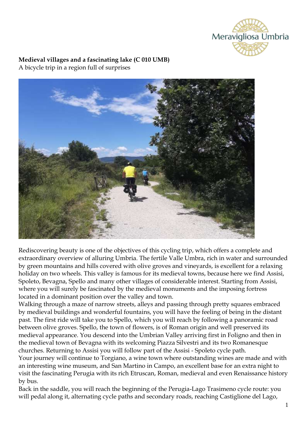

### **Medieval villages and a fascinating lake (C 010 UMB)** A bicycle trip in a region full of surprises



Rediscovering beauty is one of the objectives of this cycling trip, which offers a complete and extraordinary overview of alluring Umbria. The fertile Valle Umbra, rich in water and surrounded by green mountains and hills covered with olive groves and vineyards, is excellent for a relaxing holiday on two wheels. This valley is famous for its medieval towns, because here we find Assisi, Spoleto, Bevagna, Spello and many other villages of considerable interest. Starting from Assisi, where you will surely be fascinated by the medieval monuments and the imposing fortress located in a dominant position over the valley and town.

Walking through a maze of narrow streets, alleys and passing through pretty squares embraced by medieval buildings and wonderful fountains, you will have the feeling of being in the distant past. The first ride will take you to Spello, which you will reach by following a panoramic road between olive groves. Spello, the town of flowers, is of Roman origin and well preserved its medieval appearance. You descend into the Umbrian Valley arriving first in Foligno and then in the medieval town of Bevagna with its welcoming Piazza Silvestri and its two Romanesque churches. Returning to Assisi you will follow part of the Assisi - Spoleto cycle path.

Your journey will continue to Torgiano, a wine town where outstanding wines are made and with an interesting wine museum, and San Martino in Campo, an excellent base for an extra night to visit the fascinating Perugia with its rich Etruscan, Roman, medieval and even Renaissance history by bus.

Back in the saddle, you will reach the beginning of the Perugia-Lago Trasimeno cycle route: you will pedal along it, alternating cycle paths and secondary roads, reaching Castiglione del Lago,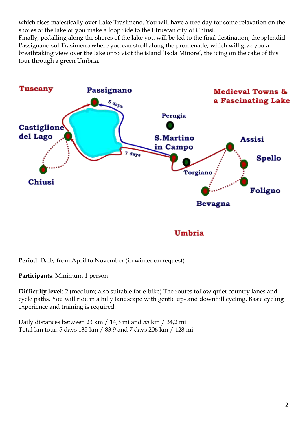which rises majestically over Lake Trasimeno. You will have a free day for some relaxation on the shores of the lake or you make a loop ride to the Etruscan city of Chiusi. Finally, pedalling along the shores of the lake you will be led to the final destination, the splendid Passignano sul Trasimeno where you can stroll along the promenade, which will give you a breathtaking view over the lake or to visit the island 'Isola Minore', the icing on the cake of this tour through a green Umbria.



Umbria

**Period**: Daily from April to November (in winter on request)

**Participants**: Minimum 1 person

**Difficulty level**: 2 (medium; also suitable for e-bike) The routes follow quiet country lanes and cycle paths. You will ride in a hilly landscape with gentle up- and downhill cycling. Basic cycling experience and training is required.

Daily distances between 23 km / 14,3 mi and 55 km / 34,2 mi Total km tour: 5 days 135 km / 83,9 and 7 days 206 km / 128 mi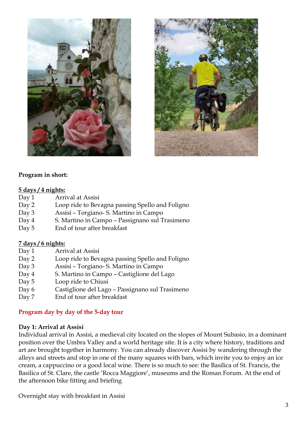



### **Program in short:**

#### **5 days / 4 nights:**

- Day 1 Arrival at Assisi
- Day 2 Loop ride to Bevagna passing Spello and Foligno
- Day 3 Assisi Torgiano- S. Martino in Campo
- Day 4 S. Martino in Campo Passignano sul Trasimeno
- Day 5 End of tour after breakfast

### **7 days / 6 nights:**

- Day 1 Arrival at Assisi
- Day 2 Loop ride to Bevagna passing Spello and Foligno
- Day 3 Assisi Torgiano- S. Martino in Campo
- Day 4 S. Martino in Campo Castiglione del Lago
- Day 5 Loop ride to Chiusi
- Day 6 Castiglione del Lago Passignano sul Trasimeno
- Day 7 End of tour after breakfast

## **Program day by day of the 5-day tour**

### **Day 1: Arrival at Assisi**

Individual arrival in Assisi, a medieval city located on the slopes of Mount Subasio, in a dominant position over the Umbra Valley and a world heritage site. It is a city where history, traditions and art are brought together in harmony. You can already discover Assisi by wandering through the alleys and streets and stop in one of the many squares with bars, which invite you to enjoy an ice cream, a cappuccino or a good local wine. There is so much to see: the Basilica of St. Francis, the Basilica of St. Clare, the castle 'Rocca Maggiore', museums and the Roman Forum. At the end of the afternoon bike fitting and briefing

Overnight stay with breakfast in Assisi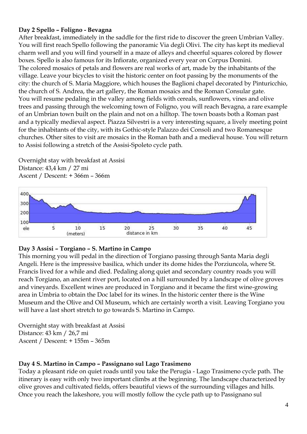# **Day 2 Spello – Foligno - Bevagna**

After breakfast, immediately in the saddle for the first ride to discover the green Umbrian Valley. You will first reach Spello following the panoramic Via degli Olivi. The city has kept its medieval charm well and you will find yourself in a maze of alleys and cheerful squares colored by flower boxes. Spello is also famous for its Infiorate, organized every year on Corpus Domini. The colored mosaics of petals and flowers are real works of art, made by the inhabitants of the village. Leave your bicycles to visit the historic center on foot passing by the monuments of the city: the church of S. Maria Maggiore, which houses the Baglioni chapel decorated by Pinturicchio, the church of S. Andrea, the art gallery, the Roman mosaics and the Roman Consular gate. You will resume pedaling in the valley among fields with cereals, sunflowers, vines and olive trees and passing through the welcoming town of Foligno, you will reach Bevagna, a rare example of an Umbrian town built on the plain and not on a hilltop. The town boasts both a Roman past and a typically medieval aspect. Piazza Silvestri is a very interesting square, a lively meeting point for the inhabitants of the city, with its Gothic-style Palazzo dei Consoli and two Romanesque churches. Other sites to visit are mosaics in the Roman bath and a medieval house. You will return to Assisi following a stretch of the Assisi-Spoleto cycle path.

Overnight stay with breakfast at Assisi Distance: 43,4 km / 27 mi Ascent / Descent: + 366m – 366m



## **Day 3 Assisi – Torgiano – S. Martino in Campo**

This morning you will pedal in the direction of Torgiano passing through Santa Maria degli Angeli. Here is the impressive basilica, which under its dome hides the Porziuncola, where St. Francis lived for a while and died. Pedaling along quiet and secondary country roads you will reach Torgiano, an ancient river port, located on a hill surrounded by a landscape of olive groves and vineyards. Excellent wines are produced in Torgiano and it became the first wine-growing area in Umbria to obtain the Doc label for its wines. In the historic center there is the Wine Museum and the Olive and Oil Museum, which are certainly worth a visit. Leaving Torgiano you will have a last short stretch to go towards S. Martino in Campo.

Overnight stay with breakfast at Assisi Distance: 43 km / 26,7 mi Ascent / Descent: + 155m – 365m

## **Day 4 S. Martino in Campo – Passignano sul Lago Trasimeno**

Today a pleasant ride on quiet roads until you take the Perugia - Lago Trasimeno cycle path. The itinerary is easy with only two important climbs at the beginning. The landscape characterized by olive groves and cultivated fields, offers beautiful views of the surrounding villages and hills. Once you reach the lakeshore, you will mostly follow the cycle path up to Passignano sul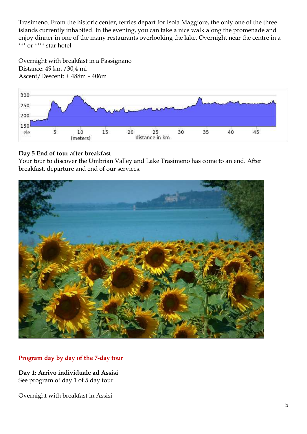Trasimeno. From the historic center, ferries depart for Isola Maggiore, the only one of the three islands currently inhabited. In the evening, you can take a nice walk along the promenade and enjoy dinner in one of the many restaurants overlooking the lake. Overnight near the centre in a \*\*\* or \*\*\*\* star hotel

Overnight with breakfast in a Passignano Distance: 49 km /30,4 mi Ascent/Descent: + 488m – 406m



# **Day 5 End of tour after breakfast**

Your tour to discover the Umbrian Valley and Lake Trasimeno has come to an end. After breakfast, departure and end of our services.



# **Program day by day of the 7-day tour**

**Day 1: Arrivo individuale ad Assisi** See program of day 1 of 5 day tour

Overnight with breakfast in Assisi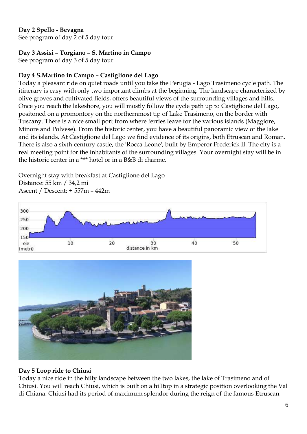# **Day 2 Spello - Bevagna**

See program of day 2 of 5 day tour

# **Day 3 Assisi – Torgiano – S. Martino in Campo**

See program of day 3 of 5 day tour

# **Day 4 S.Martino in Campo – Castiglione del Lago**

Today a pleasant ride on quiet roads until you take the Perugia - Lago Trasimeno cycle path. The itinerary is easy with only two important climbs at the beginning. The landscape characterized by olive groves and cultivated fields, offers beautiful views of the surrounding villages and hills. Once you reach the lakeshore, you will mostly follow the cycle path up to Castiglione del Lago, positoned on a promontory on the northernmost tip of Lake Trasimeno, on the border with Tuscany. There is a nice small port from where ferries leave for the various islands (Maggiore, Minore and Polvese). From the historic center, you have a beautiful panoramic view of the lake and its islands. At Castiglione del Lago we find evidence of its origins, both Etruscan and Roman. There is also a sixth-century castle, the 'Rocca Leone', built by Emperor Frederick II. The city is a real meeting point for the inhabitants of the surrounding villages. Your overnight stay will be in the historic center in a \*\*\* hotel or in a B&B di charme.

Overnight stay with breakfast at Castiglione del Lago Distance: 55 km / 34,2 mi Ascent / Descent: + 557m – 442m





## **Day 5 Loop ride to Chiusi**

Today a nice ride in the hilly landscape between the two lakes, the lake of Trasimeno and of Chiusi. You will reach Chiusi, which is built on a hilltop in a strategic position overlooking the Val di Chiana. Chiusi had its period of maximum splendor during the reign of the famous Etruscan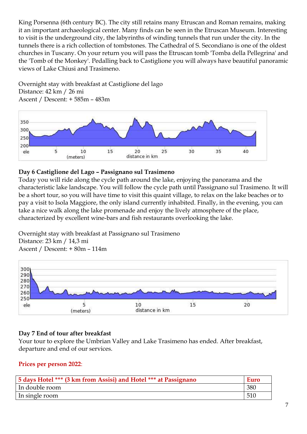King Porsenna (6th century BC). The city still retains many Etruscan and Roman remains, making it an important archaeological center. Many finds can be seen in the Etruscan Museum. Interesting to visit is the underground city, the labyrinths of winding tunnels that run under the city. In the tunnels there is a rich collection of tombstones. The Cathedral of S. Secondiano is one of the oldest churches in Tuscany. On your return you will pass the Etruscan tomb 'Tomba della Pellegrina' and the 'Tomb of the Monkey'. Pedalling back to Castiglione you will always have beautiful panoramic views of Lake Chiusi and Trasimeno.

Overnight stay with breakfast at Castiglione del lago Distance: 42 km / 26 mi Ascent / Descent: + 585m – 483m



# **Day 6 Castiglione del Lago – Passignano sul Trasimeno**

Today you will ride along the cycle path around the lake, enjoying the panorama and the characteristic lake landscape. You will follow the cycle path until Passignano sul Trasimeno. It will be a short tour, so you will have time to visit this quaint village, to relax on the lake beaches or to pay a visit to Isola Maggiore, the only island currently inhabited. Finally, in the evening, you can take a nice walk along the lake promenade and enjoy the lively atmosphere of the place, characterized by excellent wine-bars and fish restaurants overlooking the lake.

Overnight stay with breakfast at Passignano sul Trasimeno Distance: 23 km / 14,3 mi Ascent / Descent: + 80m – 114m



## **Day 7 End of tour after breakfast**

Your tour to explore the Umbrian Valley and Lake Trasimeno has ended. After breakfast, departure and end of our services.

## **Prices per person 2022**:

| 5 days Hotel *** (3 km from Assisi) and Hotel *** at Passignano | <b>Euro</b> |
|-----------------------------------------------------------------|-------------|
| In double room                                                  | 380         |
| In single room                                                  | 510         |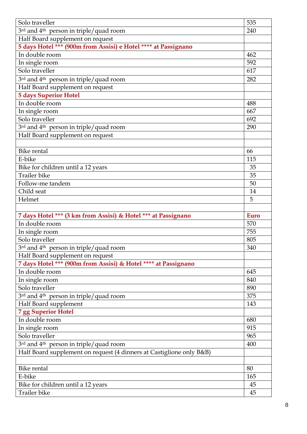| Solo traveller                                                       | 535  |
|----------------------------------------------------------------------|------|
| 3 <sup>rd</sup> and 4 <sup>th</sup> person in triple/quad room       | 240  |
| Half Board supplement on request                                     |      |
| 5 days Hotel *** (900m from Assisi) e Hotel **** at Passignano       |      |
| In double room                                                       | 462  |
| In single room                                                       | 592  |
| Solo traveller                                                       | 617  |
| 3rd and 4 <sup>th</sup> person in triple/quad room                   | 282  |
| Half Board supplement on request                                     |      |
| <b>5 days Superior Hotel</b>                                         |      |
| In double room                                                       | 488  |
| In single room                                                       | 667  |
| Solo traveller                                                       | 692  |
| 3rd and 4 <sup>th</sup> person in triple/quad room                   | 290  |
| Half Board supplement on request                                     |      |
|                                                                      |      |
| <b>Bike rental</b>                                                   | 66   |
| E-bike                                                               | 115  |
| Bike for children until a 12 years                                   | 35   |
| Trailer bike                                                         | 35   |
| Follow-me tandem                                                     | 50   |
| Child seat                                                           | 14   |
| Helmet                                                               | 5    |
|                                                                      |      |
| 7 days Hotel *** (3 km from Assisi) & Hotel *** at Passignano        | Euro |
| In double room                                                       | 570  |
| In single room                                                       | 755  |
| Solo traveller                                                       | 805  |
| 3rd and 4 <sup>th</sup> person in triple/quad room                   | 340  |
| Half Board supplement on request                                     |      |
| 7 days Hotel *** (900m from Assisi) & Hotel **** at Passignano       |      |
| In double room                                                       | 645  |
| In single room                                                       | 840  |
| Solo traveller                                                       | 890  |
| 3rd and 4 <sup>th</sup> person in triple/quad room                   | 375  |
| Half Board supplement                                                | 143  |
| <b>7 gg Superior Hotel</b>                                           |      |
| In double room                                                       | 680  |
| In single room                                                       | 915  |
| Solo traveller                                                       | 965  |
| 3 <sup>rd</sup> and 4 <sup>th</sup> person in triple/quad room       | 400  |
| Half Board supplement on request (4 dinners at Castiglione only B&B) |      |
|                                                                      |      |
| <b>Bike rental</b>                                                   | 80   |
| E-bike                                                               | 165  |
| Bike for children until a 12 years                                   | 45   |
| <b>Trailer</b> bike                                                  | 45   |